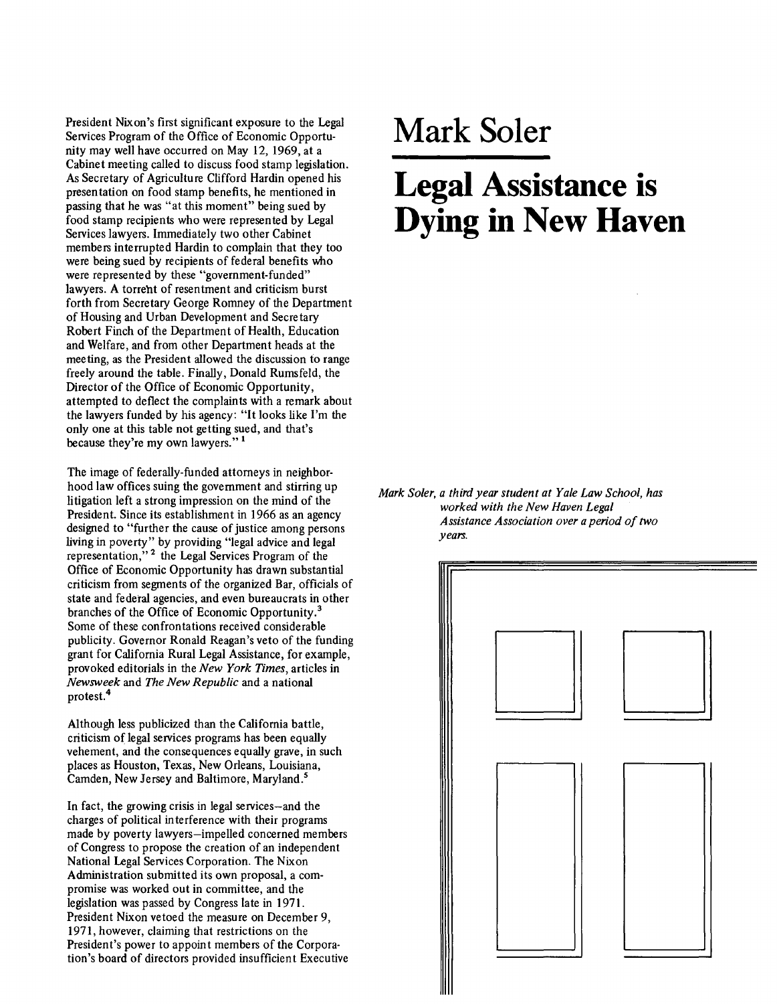President Nixon's first significant exposure to the Legal Services Program of the Office of Economic Opportunity may well have occurred on May 12, 1969, at a Cabinet meeting called to discuss food stamp legislation. As Secretary of Agriculture Clifford Hardin opened his presentation on food stamp benefits, he mentioned in passing that he was "at this moment" being sued by food stamp recipients who were represented by Legal Services lawyers. Immediately two other Cabinet members interrupted Hardin to complain that they too were being sued by recipients of federal benefits who were represented by these "government-funded" lawyers. A torreht of resentment and criticism burst forth from Secretary George Romney of the Department of Housing and Urban Development and Secretary Robert Finch of the Department of Health, Education and Welfare, and from other Department heads at the meeting, as the President allowed the discussion to range freely around the table. Finally, Donald Rumsfeld, the Director of the Office of Economic Opportunity, attempted to deflect the complaints with a remark about the lawyers funded by his agency: "It looks like I'm the only one at this table not getting sued, and that's because they're my own lawyers." <sup>1</sup>

The image of federally-funded attorneys in neighborhood law offices suing the government and stirring up litigation left a strong impression on the mind of the President. Since its establishment in 1966 as an agency designed to "further the cause of justice among persons living in poverty" by providing "legal advice and legal representation,"<sup>2</sup> the Legal Services Program of the Office of Economic Opportunity has drawn substantial criticism from segments of the organized Bar, officials of state and federal agencies, and even bureaucrats in other branches of the Office of Economic Opportunity. 3 Some of these confrontations received considerable publicity. Governor Ronald Reagan's veto of the funding grant for California Rural Legal Assistance, for example, provoked editorials in the *New York Times,* articles in *Newsweek* and *The New Republic* and a national protest.<sup>4</sup>

Although less publicized than the California battle, criticism of legal services programs has been equally vehement, and the consequences equally grave, in such places as Houston, Texas, New Orleans, Louisiana, Camden, New Jersey and Baltimore, Maryland.<sup>5</sup>

In fact, the growing crisis in legal services-and the charges of political interference with their programs made by poverty lawyers-impelled concerned members of Congress to propose the creation of an independent National Legal Services Corporation. The Nixon Administration submitted its own proposal, a compromise was worked out in committee, and the legislation was passed by Congress late in 1971. President Nixon vetoed the measure on December 9, 1971, however, claiming that restrictions on the President's power to appoint members of the Corporation's board of directors provided insufficient Executive

## **Mark Soler**

## **Legal Assistance is Dying in New Haven**

*Mark Soler, a third year student at Yale Law School, has worked with the New Haven Legal Assistance Association over a period of two years.* 

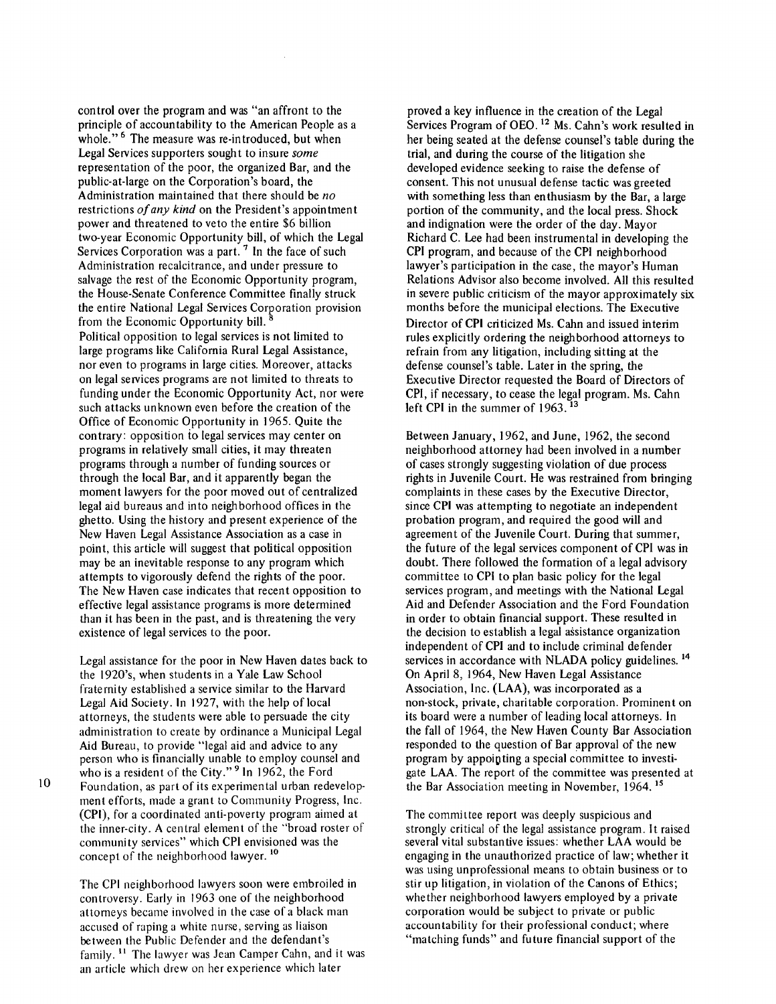control over the program and was "an affront to the principle of accountability to the American People as a whole."<sup>6</sup> The measure was re-introduced, but when Legal Services supporters sought to insure *some*  representation of the poor, the organized Bar, and the public-at-large on the Corporation's board, the Administration maintained that there should be *no*  restrictions *of any kind* on the President's appointment power and threatened to veto the entire \$6 billion two-year Economic Opportunity bill, of which the Legal Services Corporation was a part.<sup>7</sup> In the face of such Administration recalcitrance, and under pressure to salvage the rest of the Economic Opportunity program, the House-Senate Conference Committee finally struck the entire National Legal Services Corporation provision from the Economic Opportunity bill. Political opposition to legal services is not limited to large programs like California Rural Legal Assistance, nor even to programs in large cities. Moreover, attacks on legal services programs are not limited to threats to funding under the Economic Opportunity Act, nor were such attacks unknown even before the creation of the Office of Economic Opportunity in 1965. Quite the contrary: opposition to legal services may center on programs in relatively small cities, it may threaten programs through a number of funding sources or through the local Bar, and it apparently began the moment lawyers for the poor moved out of centralized legal aid bureaus and into neighborhood offices in the ghetto. Using the history and present experience of the New Haven Legal Assistance Association as a case in point, this article will suggest that political opposition may be an inevitable response to any program which attempts to vigorously defend the rights of the poor. The New Haven case indicates that recent opposition to effective legal assistance programs is more determined than it has been in the past, and is threatening the very existence of legal services to the poor.

Legal assistance for the poor in New Haven dates back to the 1920's, when students in a Yale Law School fraternity established a service similar to the Harvard Legal Aid Society. In 1927, with the help of local attorneys, the students were able to persuade the city administration to create by ordinance a Municipal Legal Aid Bureau, to provide "legal aid and advice to any person who is financially unable to employ counsel and who is a resident of the City."<sup>9</sup> In 1962, the Ford Foundation, as part of its experimental urban redevelopment efforts, made a grant to Community Progress, Inc. (CPI), for a coordinated anti-poverty program aimed at the inner-city. A central element of the ''broad roster of community services" which CPI envisioned was the concept of the neighborhood lawyer.<sup>10</sup>

10

The CPI neighborhood lawyers soon were embroiled in controversy. Early in 1963 one of the neighborhood attorneys became involved in the case of a black man accused of raping a white nurse, serving as liaison between the Public Defender and the defendant's family. 11 The lawyer was Jean Camper Cahn, and it was an article which drew on her experience which later

proved a key influence in the creation of the Legal Services Program of OEO.<sup>12</sup> Ms. Cahn's work resulted in her being seated at the defense counsel's table during the trial, and during the course of the litigation she developed evidence seeking to raise the defense of consent. This not unusual defense tactic was greeted with something less than enthusiasm by the Bar, a large portion of the community, and the local press. Shock and indignation were the order of the day. Mayor Richard C. Lee had been instrumental in developing the CPI program, and because of the CPI neighborhood lawyer's participation in the case, the mayor's Human Relations Advisor also become involved. All this resulted in severe public criticism of the mayor approximately six months before the municipal elections. The Executive Director of CPI criticized Ms. Cahn and issued interim rules explicitly ordering the neighborhood attorneys to refrain from any litigation, including sitting at the defense counsel's table. Later in the spring, the Executive Director requested the Board of Directors of CPI, if necessary, to cease the legal program. Ms. Cahn left CPI in the summer of 1963.<sup>13</sup>

Between January, 1962, and June, 1962, the second neighborhood attorney had been involved in a number of cases strongly suggesting violation of due process rights in Juvenile Court. He was restrained from bringing complaints in these cases by the Executive Director, since CPI was attempting to negotiate an independent probation program, and required the good will and agreement of the Juvenile Court. During that summer, the future of the legal services component of CPI was in doubt. There followed the formation of a legal advisory committee to CPI to plan basic policy for the legal services program, and meetings with the National Legal Aid and Defender Association and the Ford Foundation in order to obtain financial support. These resulted in the decision to establish a legal assistance organization independent of CPI and to include criminal defender services in accordance with NLADA policy guidelines.<sup>14</sup> On April 8, 1964, New Haven Legal Assistance Association, Inc. (LAA), was incorporated as a non-stock, private, charitable corporation. Prominent on its board were a number of leading local attorneys. In the fall of 1964, the New Haven County Bar Association responded to the question of Bar approval of the new program by appointing a special committee to investigate LAA. The report of the committee was presented at the Bar Association meeting in November, 1964.<sup>15</sup>

The committee report was deeply suspicious and strongly critical of the legal assistance program. It raised several vital substantive issues: whether LAA would be engaging in the unauthorized practice of law; whether it was using unprofessional means to obtain business or to stir up litigation, in violation of the Canons of Ethics; whether neighborhood lawyers employed by a private corporation would be subject to private or public accountability for their professional conduct; where "matching funds" and future financial support of the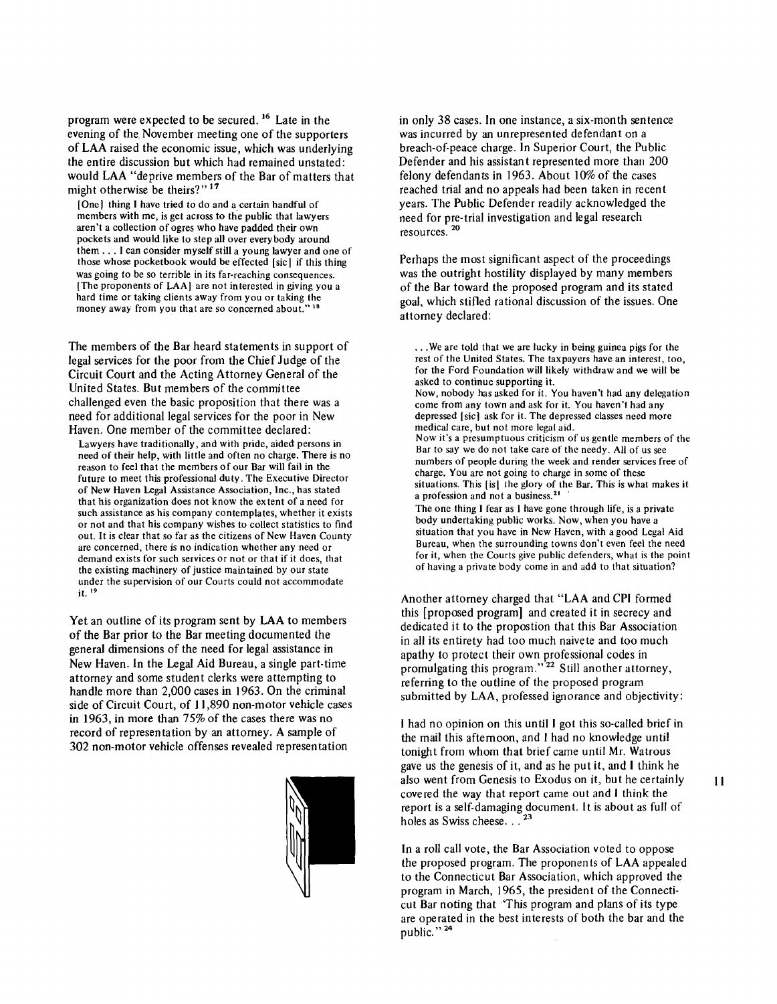program were expected to be secured. 16 Late in the evening of the November meeting one of the supporters of LAA raised the economic issue, which was underlying the entire discussion but which had remained unstated: would LAA "deprive members of the Bar of matters that might otherwise be theirs?"<sup>17</sup>

[One] thing I have tried to do and a certain handful of members with me, is get across to the public that lawyers aren't a collection of ogres who have padded their own pockets and would like to step all over everybody around them ... I can consider myself still a young lawyer and one of those whose pocketbook would be effected [sic I if this thing was going to be so terrible in its far-reaching consequences. [The proponents of LAA) are not interested in giving you a hard time or taking clients away from you or taking the money away from you that are so concerned about.'

The members of the Bar heard statements in support of legal services for the poor from the Chief Judge of the Circuit Court and the Acting Attorney General of the United States. But members of the committee challenged even the basic proposition that there was a need for additional legal services for the poor in New Haven. One member of the committee declared:

Lawyers have traditionally, and with pride, aided persons in need of their help, with little and often no charge. There is no reason to feel that the members of our Bar will fail in the future to meet this professional duty. The Executive Director of New Haven Legal Assistance Association, Inc., has stated that his organization does not know the ex tent of a need for such assistance as his company contemplates, whether it exists or not and that his company wishes to collect statistics to find out. It is clear that so far as the citizens of New Haven County are concerned, there is no indication whether any need or demand exists for such services or not or that if it does, that the existing machinery of justice maintained by our state under the supervision of our Courts could not accommodate it. 19

Yet an outline of its program sent by LAA to members of the Bar prior to the Bar meeting documented the general dimensions of the need for legal assistance in New Haven. In the Legal Aid Bureau, a single part-time attorney and some student clerks were attempting to handle more than 2,000 cases in 1963. On the criminal side of Circuit Court, of 11,890 non-motor vehicle cases in 1963, in more than 75% of the cases there was no record of representation by an attorney. A sample of 302 non-motor vehicle offenses revealed representation



in only 38 cases. In one instance, a six-month sentence was incurred by an unrepresented defendant on a breach-of-peace charge. In Superior Court, the Public Defender and his assistant represented more than 200 felony defendants in 1963. About 10% of the cases reached trial and no appeals had been taken in recent years. The Public Defender readily acknowledged the need for pre-trial investigation and legal research resources. <sup>20</sup>

Perhaps the most significant aspect of the proceedings was the outright hostility displayed by many members of the Bar toward the proposed program and its stated goal, which stifled rational discussion of the issues. One attorney declared:

... We are told that we are lucky in being guinea pigs for the rest of the United States. The taxpayers have an interest, too, for the Ford Foundation will likely withdraw and we will be asked to continue supporting it. Now, nobody has asked for it. You haven't had any delegation come from any town and ask for it. You haven't had any depressed [sic] ask for it. The depressed classes need more medical care, but not more legal aid. Now it's a presumptuous criticism of us gentle members of the Bar to say we do not take care of the needy. All of us see numbers of people during the week and render services free of charge. You are not going to charge in some of these situations. This [is] the glory of the Bar. This is what makes it a profession and not a business.<sup>21</sup> The one thing I fear as I have gone through life, is a private body undertaking public works. Now, when you have a situation that you have in New Haven, with a good Legal Aid Bureau, when the surrounding towns don't even feel the need for it, when the Courts give public defenders, what is the point of having a private body come in and add to that situation?

Another attorney charged that "LAA and CPI formed this [proposed program] and created it in secrecy and dedicated it to the propostion that this Bar Association in all its entirety had too much naivete and too much apathy to protect their own professional codes in promulgating this program."<sup>22</sup> Still another attorney, referring to the outline of the proposed program submitted by LAA, professed ignorance and objectivity:

I had no opinion on this until I got this so-called brief in the mail this afternoon, and I had no knowledge until tonight from whom that brief came until Mr. Watrous gave us the genesis of it, and as he put it, and I think he also went from Genesis to Exodus on it, but he certainly covered the way that report came out and I think the report is a self-damaging document. It is about as full of holes as Swiss cheese. . . <sup>23</sup>

In a roll call vote, the Bar Association voted to oppose the proposed program. The proponents of LAA appealed to the Connecticut Bar Association, which approved the program in March, 1965, the president of the Connecticut Bar noting that 'This program and plans of its type are operated in the best interests of both the bar and the public."<sup>24</sup>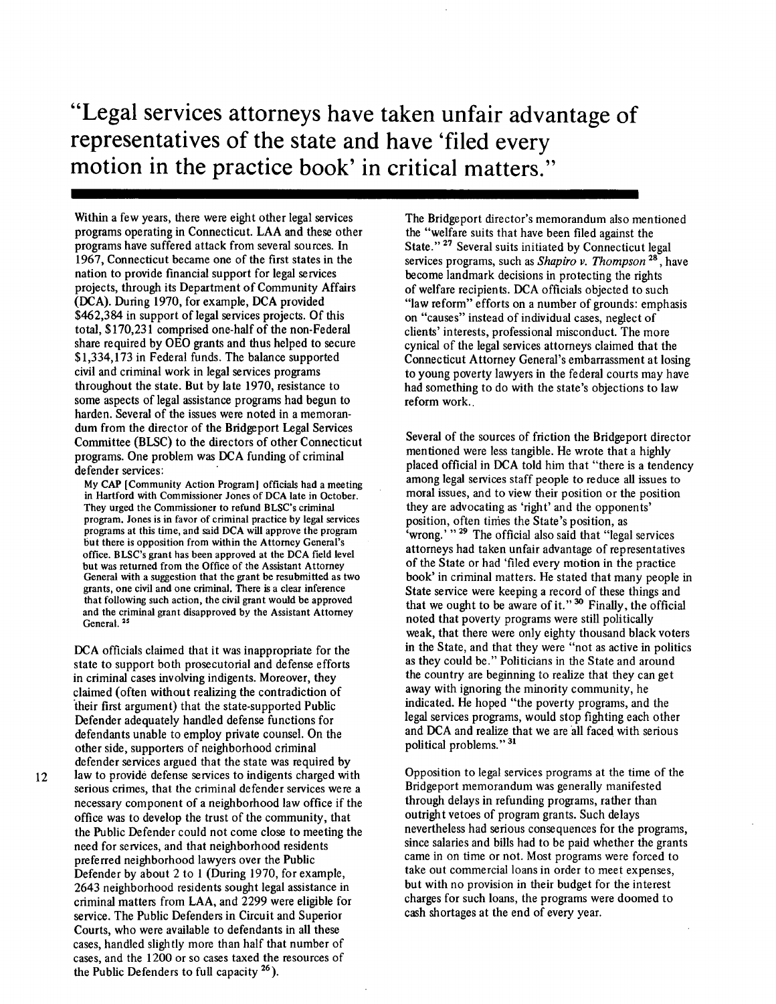**"Legal services attorneys have taken unfair advantage of representatives of the state and have 'filed every motion in the practice book' in critical matters."** 

Within a few years, there were eight other legal services programs operating in Connecticut. LAA and these other programs have suffered attack from several sources. In 1967, Connecticut became one of the first states in the nation to provide financial support for legal services projects, through its Department of Community Affairs (DCA). During 1970, for example, DCA provided \$462,384 in support of legal services projects. Of this total, \$170,231 comprised one-half of the non-Federal share required by OEO grants and thus helped to secure \$1,334,173 in Federal funds. The balance supported civil and criminal work in legal services programs throughout the state. But by late 1970, resistance to some aspects of legal assistance programs had begun to harden. Several of the issues were noted in a memorandum from the director of the Bridgeport Legal Services Committee (BLSC) to the directors of other Connecticut programs. One problem was DCA funding of criminal defender services:

My CAP [Community Action Program) officials had a meeting in Hartford with Commissioner Jones of DCA late in October. They urged the Commissioner to refund BLSC's criminal program. Jones is in favor of criminal practice by legal services programs at this time, and said DCA will approve the program but there is opposition from within the Attorney General's office. BLSC's grant has been approved at the DCA field level but was returned from the Office of the Assistant Attorney General with a suggestion that the grant be resubmitted as two grants, one civil and one criminal. There is a clear inference that following such action, the civil grant would be approved and the criminal grant disapproved by the Assistant Attorney General.<sup>25</sup>

DCA officials claimed that it was inappropriate for the state to support both prosecutorial and defense efforts in criminal cases involving indigents. Moreover, they claimed (often without realizing the contradiction of ·their first argument) that the state-supported Public Defender adequately handled defense functions for defendants unable to employ private counsel. On the other side, supporters of neighborhood criminal defender services argued that the state was required by

12

law to provide defense services to indigents charged with serious crimes, that the criminal defender services were a necessary component of a neighborhood law office if the office was to develop the trust of the community, that the Public Defender could not come close to meeting the need for services, and that neighborhood residents preferred neighborhood lawyers over the Public Defender by about 2 to 1 (During 1970, for example, 2643 neighborhood residents sought legal assistance in criminal matters from LAA, and 2299 were eligible for service. The Public Defenders in Circuit and Superior Courts, who were available to defendants in all these cases, handled slightly more than half that number of cases, and the 1200 or so cases taxed the resources of the Public Defenders to full capacity  $26$ ).

The Bridgeport director's memorandum also mentioned the "welfare suits that have been filed against the State."<sup>27</sup> Several suits initiated by Connecticut legal services programs, such as *Shapiro v. Thompson* <sup>28</sup> , have become landmark decisions in protecting the rights of welfare recipients. DCA officials objected to such "law reform" efforts on a number of grounds: emphasis on "causes" instead of individual cases, neglect of clients' interests, professional misconduct. The more cynical of the legal services attorneys claimed that the Connecticut Attorney General's embarrassment at losing to young poverty lawyers in the federal courts may have had something to do with the state's objections to law reform work..

Several of the sources of friction the Bridgeport director mentioned were less tangible. He wrote that a highly placed official in DCA told him that "there is a tendency among legal services staff people to reduce all issues to moral issues, and to view their position or the position they are advocating as 'right' and the opponents' position, often times the State's position, as 'wrong.' " <sup>29</sup> The official also said that "legal services attorneys had taken unfair advantage of representatives of the State or had 'filed every motion in the practice book' in criminal matters. He stated that many people in State service were keeping a record of these things and that we ought to be aware of it." 30 Finally, the official noted that poverty programs were still politically weak, that there were only eighty thousand black voters in the State, and that they were "not as active in politics as they could be." Politicians in the State and around the country are beginning to realize that they can get away with ignoring the minority community, he indicated. He hoped "the poverty programs, and the legal services programs, would stop fighting each other and DCA and realize that we are all faced with serious political problems." 31

Opposition to legal services programs at the time of the Bridgeport memorandum was generally manifested through delays in refunding programs, rather than outright vetoes of program grants. Such delays nevertheless had serious consequences for the programs, since salaries and bills had to be paid whether the grants came in on time or not. Most programs were forced to take out commercial loans in order to meet expenses, but with no provision in their budget for the interest charges for such loans, the programs were doomed to cash shortages at the end of every year.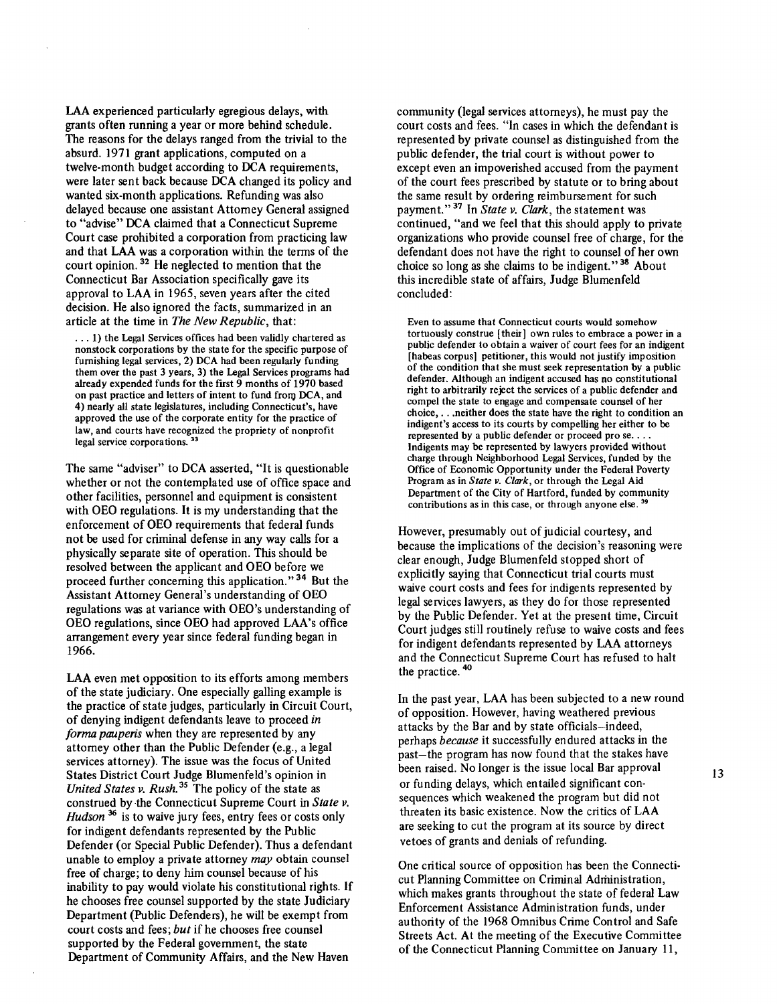LAA experienced particularly egregious delays, with grants often running a year or more behind schedule. The reasons for the delays ranged from the trivial to the absurd. 1971 grant applications, computed on a twelve-month budget according to DCA requirements, were later sent back because DCA changed its policy and wanted six-month applications. Refunding was also delayed because one assistant Attorney General assigned to "advise" DCA claimed that a Connecticut Supreme Court case prohibited a corporation from practicing law and that LAA was a corporation within the terms of the court opinion.<sup>32</sup> He neglected to mention that the Connecticut Bar Association specifically gave its approval to LAA in 1965, seven years after the cited decision. He also ignored the facts, summarized in an article at the time in *The New Republic,* that:

... 1) the Legal Services offices had been validly chartered as nonstock corporations by the state for the specific purpose of furnishing legal services, 2) DCA had been regularly funding them over the past 3 years, 3) the Legal Services programs had already expended funds for the first 9 months of 1970 based on past practice and letters of intent to fund from DCA, and 4) nearly all state legislatures, including Connecticut's, have approved the use of the corporate entity for the practice of law, and courts have recognized the propriety of nonprofit legal service corporations.<sup>33</sup>

The same "adviser" to DCA asserted, "It is questionable whether or not the contemplated use of office space and other facilities, personnel and equipment is consistent with OEO regulations. It is my understanding that the enforcement of OEO requirements that federal funds not be used for criminal defense in any way calls for a physically separate site of operation. This should be resolved between the applicant and OEO before we proceed further concerning this application." 34 But the Assistant Attorney General's understanding of OEO regulations was at variance with OEO's understanding of OEO regulations, since OEO had approved LAA's office arrangement every year since federal funding began in 1966.

LAA even met opposition to its efforts among members of the state judiciary. One especially galling example is the practice of state judges, particularly in Circuit Court, of denying indigent defendants leave to proceed in *forma pauperis* when they are represented by any attorney other than the Public Defender (e.g., a legal services attorney). The issue was the focus of United States District Court Judge Blumenfeld's opinion in *United States v. Rush.*<sup>35</sup> The policy of the state as construed by the Connecticut Supreme Court in *State v. Hudson*<sup>36</sup> is to waive jury fees, entry fees or costs only for indigent defendants represented by the Public Defender (or Special Public Defender). Thus a defendant unable to employ a private attorney *may* obtain counsel free of charge; to deny him counsel because of his inability to pay would violate his constitutional rights. If he chooses free counsel supported by the state Judiciary Department {Public Defenders), he will be exempt from court costs and fees; *but* if he chooses free counsel supported by the Federal government, the state Department of Community Affairs, and the New Haven

community {legal services attorneys), he must pay the court costs and fees. "In cases in which the defendant is represented by private counsel as distinguished from the public defender, the trial court is without power to except even an impoverished accused from the payment of the court fees prescribed by statute or to bring about the same result by ordering reimbursement for such payment." 37 In *State v. Clark,* the statement was continued, "and we feel that this should apply to private organizations who provide counsel free of charge, for the defendant does not have the right to counsel of her own choice so long as she claims to be indigent." 38 About this incredible state of affairs, Judge Blumenfeld concluded:

Even to assume that Connecticut courts would somehow tortuously construe [their) own rules to embrace a power in a public defender to obtain a waiver of court fees for an indigent [habeas corpus] petitioner, this would not justify imposition of the condition that she must seek representation by a public defender. Although an indigent accused has no constitutional right to arbitrarily reject the services of a public defender and compel the state to engage and compensate counsel of her choice, ... neither does the state have the right to condition an indigent's access to its courts by compelling her either to be represented by a public defender or proceed pro se. . . Indigents may be represented by lawyers provided without charge through Neighborhood Legal Services, funded by the Office of Economic Opportunity under the Federal Poverty Program as in *State v. Clark,* or through the Legal Aid Department of the City of Hartford, funded by community contributions as in this case, or through anyone else.<sup>39</sup>

However, presumably out of judicial courtesy, and because the implications of the decision's reasoning were clear enough, Judge Blumenfeld stopped short of explicitly saying that Connecticut trial courts must waive court costs and fees for indigents represented by legal services lawyers, as they do for those represented by the Public Defender. Yet at the present time, Circuit Court judges still routinely refuse to waive costs and fees for indigent defendants represented by LAA attorneys and the Connecticut Supreme Court has refused to halt the practice. <sup>40</sup>

In the past year, LAA has been subjected to a new round of opposition. However, having weathered previous attacks by the Bar and by state officials-indeed, perhaps *because* it successfully endured attacks in the past-the program has now found that the stakes have been raised. No longer is the issue local Bar approval or funding delays, which entailed significant consequences which weakened the program but did not threaten its basic existence. Now the critics of LAA are seeking to cut the program at its source by direct vetoes of grants and denials of refunding.

One critical source of opposition has been the Connecticut Planning Committee on Criminal Administration, which makes grants throughout the state of federal Law Enforcement Assistance Administration funds, under authority of the 1968 Omnibus Crime Control and Safe Streets Act. At the meeting of the Executive Committee of the Connecticut Planning Committee on January 11,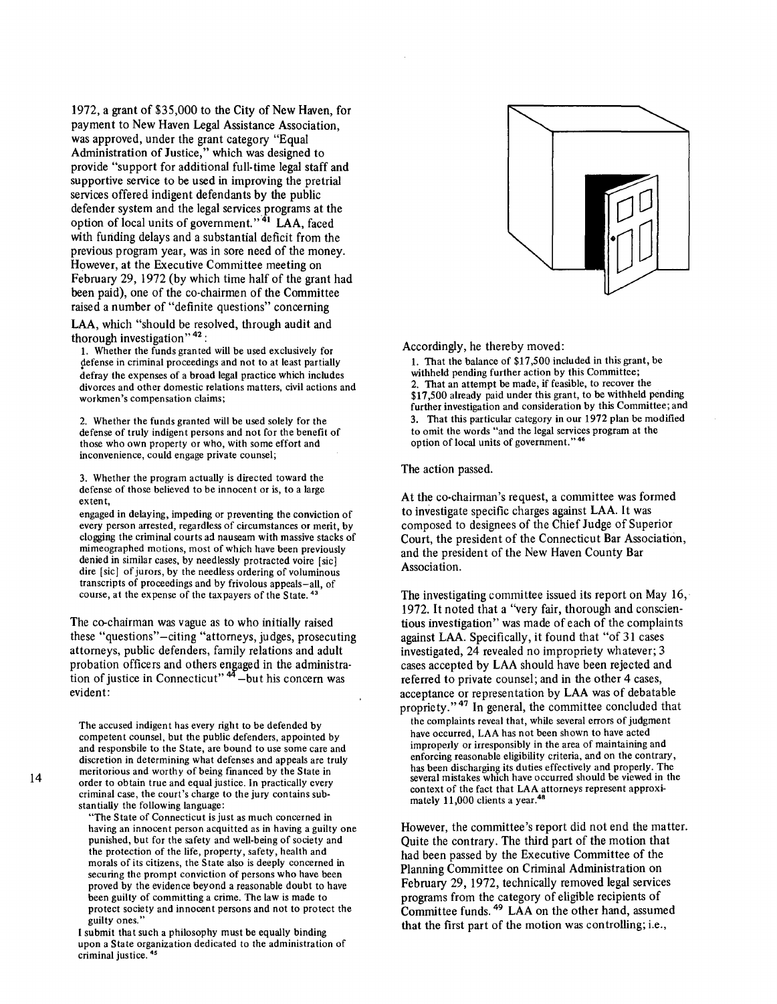1972, a grant of \$35,000 to the City of New Haven, for payment to New Haven Legal Assistance Association, was approved, under the grant category "Equal Administration of Justice," which was designed to provide "support for additional full-time legal staff and supportive service to be used in improving the pretrial services offered indigent defendants by the public defender system and the legal services programs at the option of local units of government."<sup>41</sup> LAA, faced with funding delays and a substantial deficit from the previous program year, was in sore need of the money. However, at the Executive Committee meeting on February 29, 1972 (by which time half of the grant had been paid), one of the co-chairmen of the Committee raised a number of "definite questions" concerning

LAA, which "should be resolved, through audit and thorough investigation"  $42$ :

1. Whether the funds granted will be used exclusively for defense in criminal proceedings and not to at least partially defray the expenses of a broad legal practice which includes divorces and other domestic relations matters, civil actions and workmen's compensation claims;

2. Whether the funds granted will be used solely for the defense of truly indigent persons and not for the benefit of those who own property or who, with some effort and inconvenience, could engage private counsel;

3. Whether the program actually is directed toward the defense of those believed to be innocent or is, to a large extent,

engaged in delaying, impeding or preventing the conviction of every person arrested, regardless of circumstances or merit, by clogging the criminal courts ad nauseam with massive stacks of mimeographed motions, most of which have been previously denied in similar cases, by needlessly protracted voire [sic] dire [sic] of jurors, by the needless ordering of voluminous transcripts of proceedings and by frivolous appeals-all, of course, at the expense of the taxpayers of the State.<sup>4</sup>

The co-chairman was vague as to who initially raised these "questions"-citing "attorneys, judges, prosecuting attorneys, public defenders, family relations and adult probation officers and others engaged in the administration of justice in Connecticut"<sup>44</sup> -but his concern was evident:

The accused indigent has every right to be defended by competent counsel, but the public defenders, appointed by and responsbile to the State, are bound to use some care and discretion in determining what defenses and appeals are truly meritorious and worthy of being financed by the State in order to obtain true and equal justice. In practically every criminal case, the court's charge to the jury contains substantially the following language:

"The State of Connecticut is just as much concerned in having an innocent person acquitted as in having a guilty one punished, but for the safety and well-being of society and the protection of the life, property, safety, health and morals of its citizens, the State also is deeply concerned in securing the prompt conviction of persons who have been proved by the evidence beyond a reasonable doubt to have been guilty of committing a crime. The law is made to protect society and innocent persons and not to protect the guilty ones."

I submit that such a philosophy must be equally binding upon a State organization dedicated to the administration of criminal justice. 45



Accordingly, he thereby moved:

1. That the balance of \$17 ,500 included in this grant, be withheld pending further action by this Committee; 2. That an attempt be made, if feasible, to recover the \$17 ,500 already paid under this grant, to be withheld pending further investigation and consideration by this Committee; and 3. That this particular category in our 1972 plan be modified to omit the words "and the legal services program at the option of local units of government."

The action passed.

At the co-chairman's request, a committee was formed to investigate specific charges against LAA. It was composed to designees of the Chief Judge of Superior Court, the president of the Connecticut Bar Association, and the president of the New Haven County Bar Association.

The investigating committee issued its report on May  $16$ , 1972. It noted that a ''very fair, thorough and conscientious investigation" was made of each of the complaints against LAA. Specifically, it found that "of 31 cases investigated, 24 revealed no impropriety whatever; 3 cases accepted by LAA should have been rejected and referred to private counsel; and in the other 4 cases, acceptance or representation by LAA was of debatable propriety."<sup>47</sup> In general, the committee concluded that the complaints reveal that, while several errors of judgment have occurred, LAA has not been shown to have acted improperly or irresponsibly in the area of maintaining and enforcing reasonable eligibility criteria, and on the contrary, has been discharging its duties effectively and properly. The several mistakes which have occurred should be viewed in the context of the fact that LAA attorneys represent approximately 11,000 clients a year.<sup>48</sup>

However, the committee's report did not end the matter. Quite the contrary. The third part of the motion that had been passed by the Executive Committee of the Planning Committee on Criminal Administration on February 29, 1972, technically removed legal services programs from the category of eligible recipients of Committee funds. 49 LAA on the other hand, assumed that the first part of the motion was controlling; i.e.,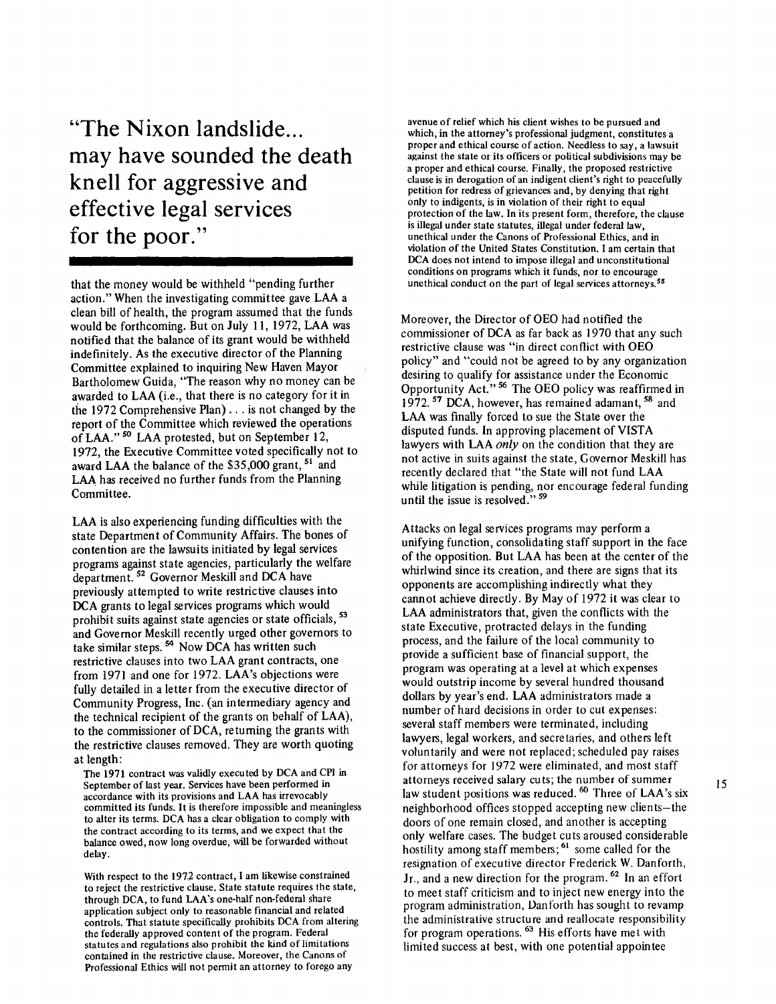**"The Nix on landslide ... may have sounded the death knell for aggressive and effective legal services for the poor."** 

that the money would be withheld "pending further action." When the investigating committee gave LAA a clean bill of health, the program assumed that the funds would be forthcoming. But on July 11, 1972, LAA was notified that the balance of its grant would be withheld indefinitely. As the executive director of the Planning Committee explained to inquiring New Haven Mayor Bartholomew Guida, "The reason why no money can be awarded to LAA (i.e., that there is no category for it in the 1972 Comprehensive Plan) ... is not changed by the report of the Committee which reviewed the operations of LAA." <sup>50</sup> LAA protested, but on September 12, 1972, the Executive Committee voted specifically not to award LAA the balance of the \$35,000 grant, <sup>51</sup> and LAA has received no further funds from the Planning Committee.

LAA is also experiencing funding difficulties with the state Department of Community Affairs. The bones of contention are the lawsuits initiated by legal services programs against state agencies, particularly the welfare department.<sup>52</sup> Governor Meskill and DCA have previously attempted to write restrictive clauses into DCA grants to legal services programs which would prohibit suits against state agencies or state officials, <sup>53</sup> and Governor Meskill recently urged other governors to take similar steps.  $54$  Now DCA has written such restrictive clauses into two LAA grant contracts, one from 1971 and one for 1972. LAA's objections were fully detailed in a letter from the executive director of Community Progress, Inc. (an intermediary agency and the technical recipient of the grants on behalf of LAA), to the commissioner of DCA, returning the grants with the restrictive clauses removed. They are worth quoting at length:

The 1971 contract was validly executed by DCA and CPI in September of last year. Services have been performed in accordance with its provisions and LAA has irrevocably committed its funds. It is therefore impossible and meaningless to alter its terms. DCA has a clear obligation to comply with the contract according to its terms, and we expect that the balance owed, now long overdue, will be forwarded without delay.

With respect to the 1972 contract, I am likewise constrained to reject the restrictive clause. State statute requires the state, through DCA, to fund LAA's one-half non-federal share application subject only to reasonable financial and related controls. That statute specifically prohibits DCA from altering the federally approved content of the program. Federal statutes and regulations also prohibit the kind of limitations contained in the restrictive clause. Moreover, the Canons of Professional Ethics will not permit an attorney to forego any

avenue of relief which his client wishes to be pursued and which, in the attorney's professional judgment, constitutes a proper and ethical course of action. Needless to say, a lawsuit against the state or its officers or political subdivisions may be a proper and ethical course. Finally, the proposed restrictive clause is in derogation of an indigent client's right to peacefully petition for redress of grievances and, by denying that right only to indigents, is in violation of their right to equal protection of the law. In its present form, therefore, the clause is illegal under state statutes, illegal under federal law, unethical under the Canons of Professional Ethics, and in violation of the United States Constitution. I am certain that DCA does not intend to impose illegal and unconstitutional conditions on programs which it funds, nor to encourage unethical conduct on the part of legal services attorneys.<sup>55</sup>

Moreover, the Director of OEO had notified the commissioner of DCA as far back as 1970 that any such restrictive clause was "in direct conflict with OEO policy" and "could not be agreed to by any organization desiring to qualify for assistance under the Economic Opportunity Act."<sup>56</sup> The OEO policy was reaffirmed in 1972.<sup>57</sup> DCA, however, has remained adamant, <sup>58</sup> and LAA was finally forced to sue the State over the disputed funds. In approving placement of VISTA lawyers with LAA only on the condition that they are not active in suits against the state, Governor Meskill has recently declared that "the State will not fund LAA while litigation is pending, nor encourage federal funding until the issue is resolved."<sup>59</sup>

Attacks on legal services programs may perform a unifying function, consolidating staff support in the face of the opposition. But LAA has been at the center of the whirlwind since its creation, and there are signs that its opponents are accomplishing indirectly what they cannot achieve directly. By May of 1972 it was clear to LAA administrators that, given the conflicts with the state Executive, protracted delays in the funding process, and the failure of the local community to provide a sufficient base of financial support, the program was operating at a level at which expenses would outstrip income by several hundred thousand dollars by year's end. LAA administrators made a number of hard decisions in order to cut expenses: several staff members were terminated, including lawyers, legal workers, and secretaries, and others left voluntarily and were not replaced; scheduled pay raises for attorneys for 1972 were eliminated, and most staff attorneys received salary cu ts; the number of summer law student positions was reduced. <sup>60</sup> Three of LAA's six neighborhood offices stopped accepting new clients-the doors of one remain closed, and another is accepting only welfare cases. The budget cuts aroused considerable hostility among staff members; <sup>61</sup> some called for the resignation of executive director Frederick W. Danforth, Jr., and a new direction for the program.<sup>62</sup> In an effort to meet staff criticism and to inject new energy into the program administration, Danforth has sought to revamp the administrative structure and reallocate responsibility for program operations.<sup>63</sup> His efforts have met with limited success at best, with one potential appointee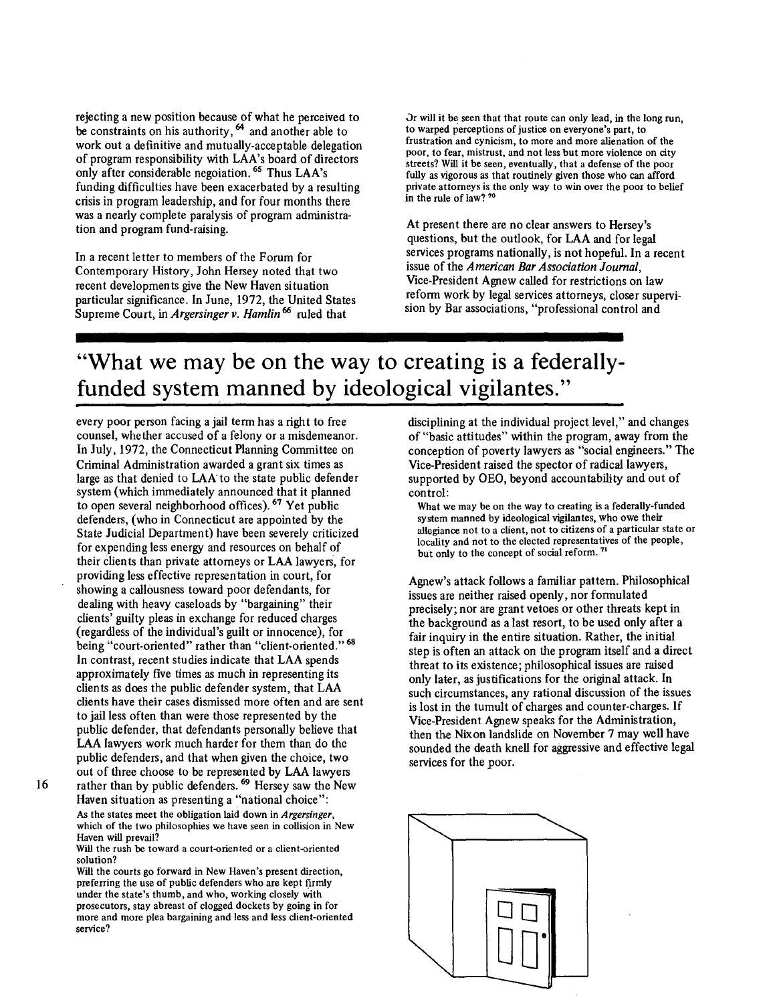rejecting a new position because of what he perceived to be constraints on his authority,  $64$  and another able to work out a definitive and mutually-acceptable delegation of program responsibility with LAA's board of directors only after considerable negoiation. 65 Thus LAA's funding difficulties have been exacerbated by a resulting crisis in program leadership, and for four months there was a nearly complete paralysis of program administration and program fund-raising.

In a recent letter to members of the Forum for Contemporary History, John Hersey noted that two recent developments give the New Haven situation particular significance. In June, 1972, the United States Supreme Court, in *Argersinger v. Hamlin*<sup>66</sup> ruled that

Or will it be seen that that route can only lead, in the long run, to warped perceptions of justice on everyone's part, to frustration and cynicism, to more and more alienation of the poor, to fear, mistrust, and not less but more violence on city streets? Will it be seen, eventually, that a defense of the poor fully as vigorous as that routinely given those who can afford private attorneys is the only way to win over the poor to belief in the rule of law? 70

At present there are no clear answers to Hersey's questions, but the outlook, for LAA and for legal services programs nationally, is not hopeful. In a recent issue of the *American Bar Association Journal,*  Vice-President Agnew called for restrictions on law reform work by legal services attorneys, closer supervision by Bar associations, "professional control and

## **"What we may be on the way to creating is a federallyfunded system manned by ideological vigilantes."**

every poor person facing a jail term has a right to free counsel, whether accused of a felony or a misdemeanor. In July, 1972, the Connecticut Planning Committee on Criminal Administration awarded a grant six times as large as that denied to LAA to the state public defender system (which immediately announced that it planned to open several neighborhood offices). 67 Yet public defenders, (who in Connecticut are appointed by the State Judicial Department) have been severely criticized for expending less energy and resources on behalf of their clients than private attorneys or LAA lawyers, for providing less effective representation in court, for showing a callousness toward poor defendants, for dealing with heavy caseloads by "bargaining" their clients' guilty pleas in exchange for reduced charges (regardless of the individual's guilt or innocence), for being "court-oriented" rather than "client-oriented." <sup>68</sup> In contrast, recent studies indicate that LAA spends approximately five times as much in representing its clients as does the public defender system, that LAA clients have their cases dismissed more often and are sent to jail less often than were those represented by the public defender, that defendants personally believe that LAA lawyers work much harder for them than do the public defenders, and that when given the choice, two out of three choose to be represented by LAA lawyers rather than by public defenders.<sup>69</sup> Hersey saw the New

16

Haven situation as presenting a "national choice": As the states meet the obligation laid down in Argersinger, which of the two philosophies we have seen in collision in New Haven will prevail?

Will the rush be toward a court-oriented or a client-oriented solution?

Will the courts go forward in New Haven's present direction, preferring the use of public defenders who are kept firmly under the state's thumb, and who, working closely with prosecutors, stay abreast of clogged dockets by going in for more and more plea bargaining and less and less client-oriented service?

disciplining at the individual project level," and changes of "basic attitudes" within the program, away from the conception of poverty lawyers as "social engineers." The Vice-President raised the spector of radical lawyers, supported by OEO, beyond accountability and out of control:

What we may be on the way to creating is a federally-funded system manned by ideological vigilantes, who owe their allegiance not to a client, not to citizens of a particular state or locality and not to the elected representatives of the people, but only to the concept of social reform.<sup>71</sup>

Agnew's attack follows a familiar pattern. Philosophical issues are neither raised openly, nor formulated precisely; nor are grant vetoes or other threats kept in the background as a last resort, to be used only after a fair inquiry in the entire situation. Rather, the initial step is often an attack on the program itself and a direct threat to its existence; philosophical issues are raised only later, as justifications for the original attack. In such circumstances, any rational discussion of the issues is lost in the tumult of charges and counter-charges. If Vice-President Agnew speaks for the Administration, then the Nixon landslide on November 7 may well have sounded the death knell for aggressive and effective legal services for the poor.

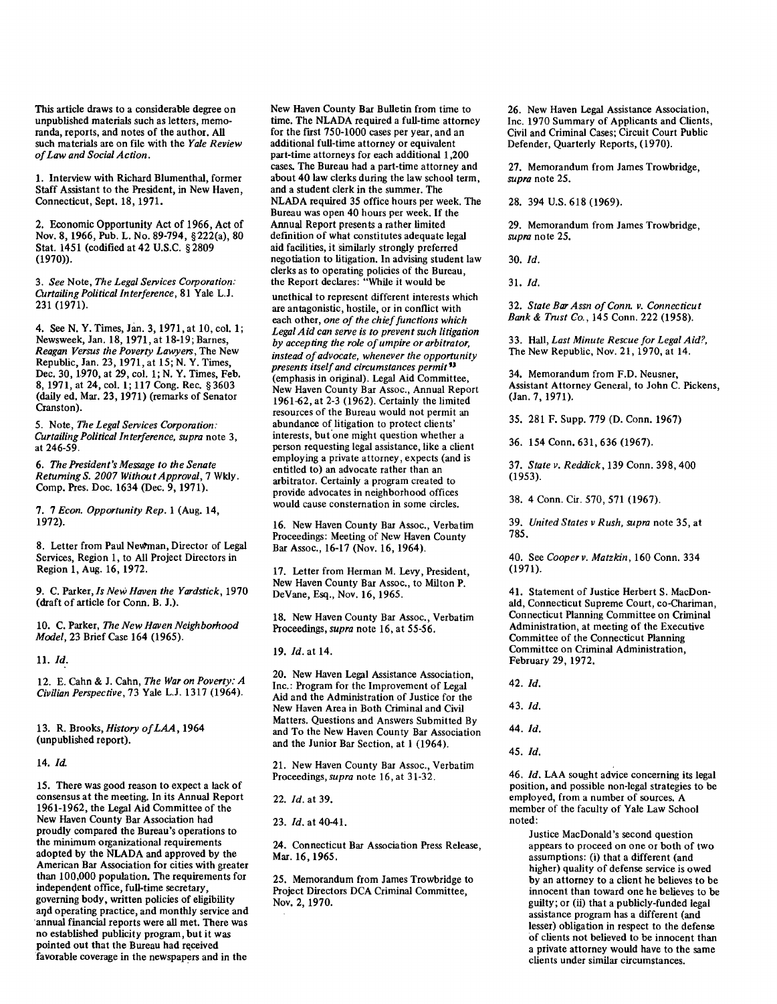This article draws to a considerable degree on unpublished materials such as letters, memoranda, reports, and notes of the author. All such materials are on file with the *Yale Review of Law and Social Action.* 

1. Interview with Richard Blumenthal, former Staff Assistant to the President, in New Haven, Connecticut, Sept. 18, 1971.

2. Economic Opportunity Act of 1966, Act of Nov. 8, 1966, Pub. L. No. 89-794, § 222(a), 80 Stat. 1451 (codified at 42 U.S.C. § 2809 (1970)).

3. *See* Note, *The Legal Services Corporation: Curtailing Political Interference,* 81 Yale L.J. 231 (1971).

4. See N. Y. Times, Jan. 3, 1971, at 10, col. 1; Newsweek, Jan. 18, 1971, at 18-19; Barnes, *Reagan Versus the Poverty Lawyers,* The New Republic, Jan. 23, 1971, at 15; N. Y. Times, Dec. 30, 1970, at 29, col. 1; N. Y. Times, Feb. 8, 1971, at 24, col. 1; 117 Cong. Rec. § 3603 (daily ed. Mar. 23, 1971) (remarks of Senator Cranston).

5. Note, *The Legal Services Corporation: Curtailing Political Interference, supra* note 3, at 246-59.

6. *The President's Message to the Senate Returning S. 2007 Without Approval,* 7 Wkly. Comp. Pres. Doc. 1634 (Dec. 9, 1971).

7. 7 *Econ. Opportunity Rep.* l (Aug. 14, 1972).

8. Letter from Paul Newman, Director of Legal Services, Region l, to All Project Directors in Region 1, Aug. 16, 1972.

9. C. Parker, *Is New Haven the Yardstick,* 1970 (draft of article for Conn. B. J.).

10. C. Parker, *The New Haven Neighborhood Model,* 23 Brief Case 164 (1965).

11. *Id.* 

12. E. Cahn & J. Cahn, *The War on Poverty: A Civilian Perspective,* 73 Yale L.J. 1317 (1964).

13. R. Brooks, *History of LAA,* 1964 (unpublished report).

## 14. *Id.*

15. There was good reason to expect a lack of consensus at the meeting. In its Annual Report 1961-1962, the Legal Aid Committee of the New Haven County Bar Association had proudly compared the Bureau's operations to the minimum organizational requirements adopted by the NLADA and approved by the American Bar Association for cities with greater than 100,000 population. The requirements for independent office, full-time secretary, governing body, written policies of eligibility aqd operating practice, and monthly service and ·annual financial reports were all met. There was no established publicity program, but it was pointed out that the Bureau had received favorable coverage in the newspapers and in the

New Haven County Bar Bulletin from time to time. The NLADA required a full-time attorney for the first 750-1000 cases per year, and an additional full-time attorney or equivalent part-time attorneys for each additional 1,200 cases. The Bureau had a part-time attorney and about 40 law clerks during the law school term, and a student clerk in the summer. The NLADA required 35 office hours per week. The Bureau was open 40 hours per week. If the Annual Report presents a rather limited definition of what constitutes adequate legal aid facilities, it similarly strongly preferred negotiation to litigation. In advising student law clerks as to operating policies of the Bureau, the Report declares: "While it would be

unethical to represent different interests which are antagonistic, hostile, or in conflict with each other, *one of the chief functions which Legal Aid can serve is to prevent such litigation by accepting the role of umpire or arbitrator, instead of advocate, whenever the opportunity presents itself and circumstances permit"*  (emphasis in original). Legal Aid Committee, New Haven County Bar Assoc., Annual Report 1961-62, at 2-3 (1962). Certainly the limited resources of the Bureau would not permit an abundance of litigation to protect clients' interests, but'one might question whether a person requesting legal assistance, like a client employing a private attorney, expects (and is entitled to) an advocate rather than an arbitrator. Certainly a program created to provide advocates in neighborhood offices would cause consternation in some circles.

16. New Haven County Bar Assoc., Verbatim Proceedings: Meeting of New Haven County Bar Assoc., 16-17 (Nov. 16, 1964).

17. Letter from Herman M. Levy, President, New Haven County Bar Assoc., to Milton P. DeVane, Esq., Nov. 16, 1965.

18. New Haven County Bar Assoc., Verbatim Proceedings, *supra* note 16, at 55-56.

19. *Id.* at 14.

20. New Haven Legal Assistance Association, Inc.: Program for the Improvement of Legal Aid and the Administration of Justice for the New Haven Area in Both Criminal and Civil Matters. Questions and Answers Submitted By and To the New Haven County Bar Association and the Junior Bar Section, at l (1964).

21. New Haven County Bar Assoc., Verbatim Proceedings, *supra* note 16, at 31-32.

23. *Id.* at 40-41.

24. Connecticut Bar Association Press Release, Mar. 16, 1965.

25. Memorandum from James Trowbridge to Project Directors DCA Criminal Committee, Nov. 2, 1970.

26. New Haven Legal Assistance Association, Inc. 1970 Summary of Applicants and Clients, Civil and Criminal Cases; Circuit Court Public Defender, Quarterly Reports, (1970).

27. Memorandum from James Trowbridge, *supra* note 25.

28. 394 U.S. 618 (1969).

29. Memorandum from James Trowbridge, *supra* note 25.

30. *Id.* 

31. *Id.* 

32. *State Bar Assn of Conn. v. Connecticut Bank* & *Trust Co.,* 145 Conn. 222 (1958).

33. Hall, *Last Minute Rescue for Legal Aid?,*  The New Republic, Nov. 21, 1970, at 14.

34. Memorandum from F.D. Neusner, Assistant Attorney General, to John C. Pickens, (Jan. 7, 1971).

35. 281 F. Supp. 779 (D. Conn. 1967)

36. 154 Conn. 631, 636 (1967).

37. *State v. Reddick,* 139 Conn. 398, 400 (1953).

38. 4 Conn. Cir. 570, 571 (1967).

39. *United States v Rush, supra* note 35, at 785.

40. See *Cooper v. Matzkin,* 160 Conn. 334 (1971).

41. Statement of Justice Herbert S. MacDonald, Connecticut Supreme Court, co-Chariman, Connecticut Planning Committee on Criminal Administration, at meeting of the Executive Committee of the Connecticut Planning Committee on Criminal Administration, February 29, 1972.

42. *Id.* 

43. *Id.* 

44. *Id.* 

45. *Id.* 

46. *Id.* LAA sought advice concerning its legal position, and possible non-legal strategies to be employed, from a number of sources. A member of the faculty of Yale Law School noted:

Justice MacDonald's second question appears to proceed on one or both of two assumptions: (i) that a different (and higher) quality of defense service is owed by an attorney to a client he believes to be innocent than toward one he believes to be guilty; or (ii) that a publicly-funded legal assistance program has a different (and lesser) obligation in respect to the defense of clients not believed to be innocent than a private attorney would have to the same clients under similar circumstances.

<sup>22.</sup> *Id.* at 39.